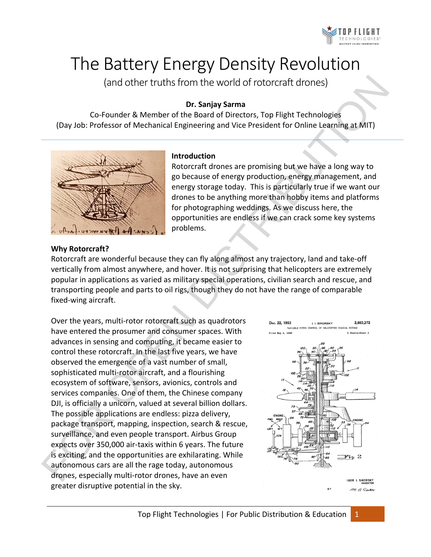

# The Battery Energy Density Revolution

(and other truths from the world of rotorcraft drones)

## **Dr. Sanjay Sarma**

Co-Founder & Member of the Board of Directors, Top Flight Technologies (Day Job: Professor of Mechanical Engineering and Vice President for Online Learning at MIT)



#### **Introduction**

Rotorcraft drones are promising but we have a long way to go because of energy production, energy management, and energy storage today. This is particularly true if we want our drones to be anything more than hobby items and platforms for photographing weddings. As we discuss here, the opportunities are endless if we can crack some key systems problems.

#### **Why Rotorcraft?**

Rotorcraft are wonderful because they can fly along almost any trajectory, land and take-off vertically from almost anywhere, and hover. It is not surprising that helicopters are extremely popular in applications as varied as military special operations, civilian search and rescue, and transporting people and parts to oil rigs, though they do not have the range of comparable fixed-wing aircraft.

Over the years, multi-rotor rotorcraft such as quadrotors have entered the prosumer and consumer spaces. With advances in sensing and computing, it became easier to control these rotorcraft. In the last five years, we have observed the emergence of a vast number of small, sophisticated multi-rotor aircraft, and a flourishing ecosystem of software, sensors, avionics, controls and services companies. One of them, the Chinese company DJI, is officially a unicorn, valued at several billion dollars. The possible applications are endless: pizza delivery, package transport, mapping, inspection, search & rescue, surveillance, and even people transport. Airbus Group expects over 350,000 air-taxis within 6 years. The future is exciting, and the opportunities are exhilarating. While autonomous cars are all the rage today, autonomous drones, especially multi-rotor drones, have an even greater disruptive potential in the sky. (and other truths from the world of rotorcraft drones)<br>
Co-Founder & Member of the foord of Directors, Top Flight Technologies<br>
(Day Jot: Professor of Mechanical Engineering and Vice President for Online Learning at MIT)<br>

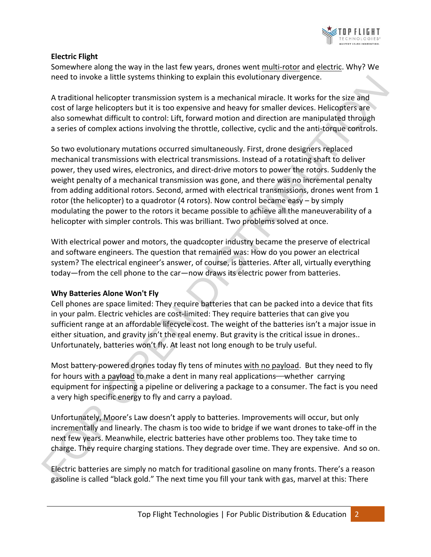

# **Electric Flight**

Somewhere along the way in the last few years, drones went multi-rotor and electric. Why? We need to invoke a little systems thinking to explain this evolutionary divergence.

A traditional helicopter transmission system is a mechanical miracle. It works for the size and cost of large helicopters but it is too expensive and heavy for smaller devices. Helicopters are also somewhat difficult to control: Lift, forward motion and direction are manipulated through a series of complex actions involving the throttle, collective, cyclic and the anti-torque controls.

So two evolutionary mutations occurred simultaneously. First, drone designers replaced mechanical transmissions with electrical transmissions. Instead of a rotating shaft to deliver power, they used wires, electronics, and direct-drive motors to power the rotors. Suddenly the weight penalty of a mechanical transmission was gone, and there was no incremental penalty from adding additional rotors. Second, armed with electrical transmissions, drones went from 1 rotor (the helicopter) to a quadrotor (4 rotors). Now control became easy  $-$  by simply modulating the power to the rotors it became possible to achieve all the maneuverability of a helicopter with simpler controls. This was brilliant. Two problems solved at once. need to invoke a little systems thinking to explain this evolutionary divergence.<br>
A raditional helicopter transmission system is a mechanical miracle. It works for the size and<br>
cast of large helicopters but it is too exp

With electrical power and motors, the quadcopter industry became the preserve of electrical and software engineers. The question that remained was: How do you power an electrical system? The electrical engineer's answer, of course, is batteries. After all, virtually everything today—from the cell phone to the car—now draws its electric power from batteries.

## **Why Batteries Alone Won't Fly**

Cell phones are space limited: They require batteries that can be packed into a device that fits in your palm. Electric vehicles are cost-limited: They require batteries that can give you sufficient range at an affordable lifecycle cost. The weight of the batteries isn't a major issue in either situation, and gravity isn't the real enemy. But gravity is the critical issue in drones.. Unfortunately, batteries won't fly. At least not long enough to be truly useful.

Most battery-powered drones today fly tens of minutes with no payload. But they need to fly for hours with a payload to make a dent in many real applications—whether carrying equipment for inspecting a pipeline or delivering a package to a consumer. The fact is you need a very high specific energy to fly and carry a payload.

Unfortunately, Moore's Law doesn't apply to batteries. Improvements will occur, but only incrementally and linearly. The chasm is too wide to bridge if we want drones to take-off in the next few years. Meanwhile, electric batteries have other problems too. They take time to charge. They require charging stations. They degrade over time. They are expensive. And so on.

Electric batteries are simply no match for traditional gasoline on many fronts. There's a reason gasoline is called "black gold." The next time you fill your tank with gas, marvel at this: There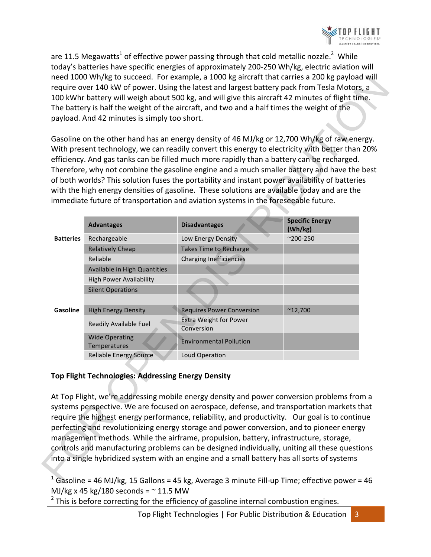

are 11.5 Megawatts<sup>1</sup> of effective power passing through that cold metallic nozzle.<sup>2</sup> While today's batteries have specific energies of approximately 200-250 Wh/kg, electric aviation will need 1000 Wh/kg to succeed. For example, a 1000 kg aircraft that carries a 200 kg payload will require over 140 kW of power. Using the latest and largest battery pack from Tesla Motors, a 100 kWhr battery will weigh about 500 kg, and will give this aircraft 42 minutes of flight time. The battery is half the weight of the aircraft, and two and a half times the weight of the payload. And 42 minutes is simply too short.

|                                                                                                | payload. And 42 minutes is simply too short. | 100 kWhr battery will weigh about 500 kg, and will give this aircraft 42 minutes of flight time.<br>The battery is half the weight of the aircraft, and two and a half times the weight of the<br>Gasoline on the other hand has an energy density of 46 MJ/kg or 12,700 Wh/kg of raw energy.<br>With present technology, we can readily convert this energy to electricity with better than 20%<br>efficiency. And gas tanks can be filled much more rapidly than a battery can be recharged.<br>Therefore, why not combine the gasoline engine and a much smaller battery and have the best<br>of both worlds? This solution fuses the portability and instant power availability of batteries<br>with the high energy densities of gasoline. These solutions are available today and are the<br>immediate future of transportation and aviation systems in the foreseeable future. |                                   |
|------------------------------------------------------------------------------------------------|----------------------------------------------|---------------------------------------------------------------------------------------------------------------------------------------------------------------------------------------------------------------------------------------------------------------------------------------------------------------------------------------------------------------------------------------------------------------------------------------------------------------------------------------------------------------------------------------------------------------------------------------------------------------------------------------------------------------------------------------------------------------------------------------------------------------------------------------------------------------------------------------------------------------------------------------|-----------------------------------|
|                                                                                                | <b>Advantages</b>                            | <b>Disadvantages</b>                                                                                                                                                                                                                                                                                                                                                                                                                                                                                                                                                                                                                                                                                                                                                                                                                                                                  | <b>Specific Energy</b><br>(Wh/kg) |
| <b>Batteries</b>                                                                               | Rechargeable                                 | Low Energy Density                                                                                                                                                                                                                                                                                                                                                                                                                                                                                                                                                                                                                                                                                                                                                                                                                                                                    | $^{\sim}$ 200-250                 |
|                                                                                                | <b>Relatively Cheap</b>                      | <b>Takes Time to Recharge</b>                                                                                                                                                                                                                                                                                                                                                                                                                                                                                                                                                                                                                                                                                                                                                                                                                                                         |                                   |
|                                                                                                | Reliable                                     | <b>Charging Inefficiencies</b>                                                                                                                                                                                                                                                                                                                                                                                                                                                                                                                                                                                                                                                                                                                                                                                                                                                        |                                   |
|                                                                                                | Available in High Quantities                 |                                                                                                                                                                                                                                                                                                                                                                                                                                                                                                                                                                                                                                                                                                                                                                                                                                                                                       |                                   |
|                                                                                                | <b>High Power Availability</b>               |                                                                                                                                                                                                                                                                                                                                                                                                                                                                                                                                                                                                                                                                                                                                                                                                                                                                                       |                                   |
|                                                                                                | <b>Silent Operations</b>                     |                                                                                                                                                                                                                                                                                                                                                                                                                                                                                                                                                                                                                                                                                                                                                                                                                                                                                       |                                   |
|                                                                                                |                                              |                                                                                                                                                                                                                                                                                                                                                                                                                                                                                                                                                                                                                                                                                                                                                                                                                                                                                       |                                   |
| Gasoline                                                                                       | <b>High Energy Density</b>                   | <b>Requires Power Conversion</b>                                                                                                                                                                                                                                                                                                                                                                                                                                                                                                                                                                                                                                                                                                                                                                                                                                                      | $^{\sim}$ 12,700                  |
|                                                                                                | Readily Available Fuel                       | <b>Extra Weight for Power</b><br>Conversion                                                                                                                                                                                                                                                                                                                                                                                                                                                                                                                                                                                                                                                                                                                                                                                                                                           |                                   |
|                                                                                                | <b>Wide Operating</b><br>Temperatures        | <b>Environmental Pollution</b>                                                                                                                                                                                                                                                                                                                                                                                                                                                                                                                                                                                                                                                                                                                                                                                                                                                        |                                   |
|                                                                                                | <b>Reliable Energy Source</b>                | Loud Operation                                                                                                                                                                                                                                                                                                                                                                                                                                                                                                                                                                                                                                                                                                                                                                                                                                                                        |                                   |
| <b>Top Flight Technologies: Addressing Energy Density</b>                                      |                                              |                                                                                                                                                                                                                                                                                                                                                                                                                                                                                                                                                                                                                                                                                                                                                                                                                                                                                       |                                   |
| At Top Flight, we're addressing mobile energy density and power conversion problems from a     |                                              |                                                                                                                                                                                                                                                                                                                                                                                                                                                                                                                                                                                                                                                                                                                                                                                                                                                                                       |                                   |
| systems perspective. We are focused on aerospace, defense, and transportation markets that     |                                              |                                                                                                                                                                                                                                                                                                                                                                                                                                                                                                                                                                                                                                                                                                                                                                                                                                                                                       |                                   |
| require the highest energy performance, reliability, and productivity. Our goal is to continue |                                              |                                                                                                                                                                                                                                                                                                                                                                                                                                                                                                                                                                                                                                                                                                                                                                                                                                                                                       |                                   |
| perfecting and revolutionizing energy storage and power conversion, and to pioneer energy      |                                              |                                                                                                                                                                                                                                                                                                                                                                                                                                                                                                                                                                                                                                                                                                                                                                                                                                                                                       |                                   |
| management methods. While the airframe, propulsion, battery, infrastructure, storage,          |                                              |                                                                                                                                                                                                                                                                                                                                                                                                                                                                                                                                                                                                                                                                                                                                                                                                                                                                                       |                                   |
| controls and manufacturing problems can be designed individually, uniting all these questions  |                                              |                                                                                                                                                                                                                                                                                                                                                                                                                                                                                                                                                                                                                                                                                                                                                                                                                                                                                       |                                   |
| into a single hybridized system with an engine and a small battery has all sorts of systems    |                                              |                                                                                                                                                                                                                                                                                                                                                                                                                                                                                                                                                                                                                                                                                                                                                                                                                                                                                       |                                   |
|                                                                                                |                                              |                                                                                                                                                                                                                                                                                                                                                                                                                                                                                                                                                                                                                                                                                                                                                                                                                                                                                       |                                   |
|                                                                                                |                                              | $16$ Gasoline = 46 MJ/kg 15 Gallons = 45 kg Average 3 minute Fill-un Time: effective nower = 46                                                                                                                                                                                                                                                                                                                                                                                                                                                                                                                                                                                                                                                                                                                                                                                       |                                   |

## **Top Flight Technologies: Addressing Energy Density**

<sup>&</sup>lt;sup>1</sup> Gasoline = 46 MJ/kg, 15 Gallons = 45 kg, Average 3 minute Fill-up Time; effective power = 46 MJ/kg x 45 kg/180 seconds =  $\sim$  11.5 MW

 $2$  This is before correcting for the efficiency of gasoline internal combustion engines.